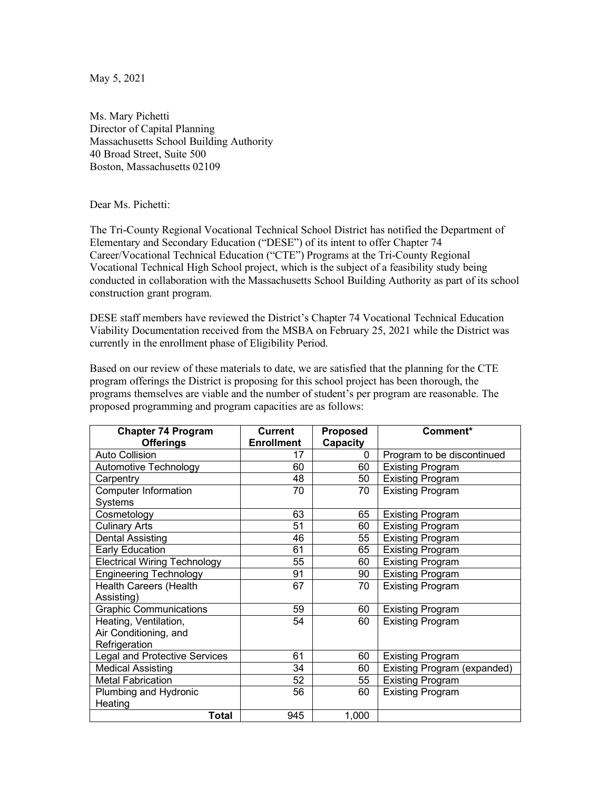May 5, 2021

Ms. Mary Pichetti Director of Capital Planning Massachusetts School Building Authority 40 Broad Street, Suite 500 Boston, Massachusetts 02109

Dear Ms. Pichetti:

The Tri-County Regional Vocational Technical School District has notified the Department of Elementary and Secondary Education ("DESE") of its intent to offer Chapter 74 Career/Vocational Technical Education ("CTE") Programs at the Tri-County Regional Vocational Technical High School project, which is the subject of a feasibility study being conducted in collaboration with the Massachusetts School Building Authority as part of its school construction grant program.

DESE staff members have reviewed the District's Chapter 74 Vocational Technical Education Viability Documentation received from the MSBA on February 25, 2021 while the District was currently in the enrollment phase of Eligibility Period.

Based on our review of these materials to date, we are satisfied that the planning for the CTE program offerings the District is proposing for this school project has been thorough, the programs themselves are viable and the number of student's per program are reasonable. The proposed programming and program capacities are as follows:

| <b>Chapter 74 Program</b>                                       | Current           | Proposed | Comment*                           |
|-----------------------------------------------------------------|-------------------|----------|------------------------------------|
| <b>Offerings</b>                                                | <b>Enrollment</b> | Capacity |                                    |
| <b>Auto Collision</b>                                           | 17                | $\Omega$ | Program to be discontinued         |
| Automotive Technology                                           | 60                | 60       | <b>Existing Program</b>            |
| Carpentry                                                       | 48                | 50       | <b>Existing Program</b>            |
| <b>Computer Information</b><br>Systems                          | 70                | 70       | <b>Existing Program</b>            |
| Cosmetology                                                     | 63                | 65       | <b>Existing Program</b>            |
| <b>Culinary Arts</b>                                            | 51                | 60       | <b>Existing Program</b>            |
| <b>Dental Assisting</b>                                         | 46                | 55       | <b>Existing Program</b>            |
| Early Education                                                 | 61                | 65       | <b>Existing Program</b>            |
| <b>Electrical Wiring Technology</b>                             | 55                | 60       | <b>Existing Program</b>            |
| <b>Engineering Technology</b>                                   | 91                | 90       | <b>Existing Program</b>            |
| Health Careers (Health<br>Assisting)                            | 67                | 70       | <b>Existing Program</b>            |
| <b>Graphic Communications</b>                                   | 59                | 60       | <b>Existing Program</b>            |
| Heating, Ventilation,<br>Air Conditioning, and<br>Refrigeration | 54                | 60       | <b>Existing Program</b>            |
| <b>Legal and Protective Services</b>                            | 61                | 60       | <b>Existing Program</b>            |
| <b>Medical Assisting</b>                                        | 34                | 60       | <b>Existing Program (expanded)</b> |
| <b>Metal Fabrication</b>                                        | 52                | 55       | <b>Existing Program</b>            |
| Plumbing and Hydronic                                           | 56                | 60       | <b>Existing Program</b>            |
| Heating                                                         |                   |          |                                    |
| <b>Total</b>                                                    | 945               | 1,000    |                                    |